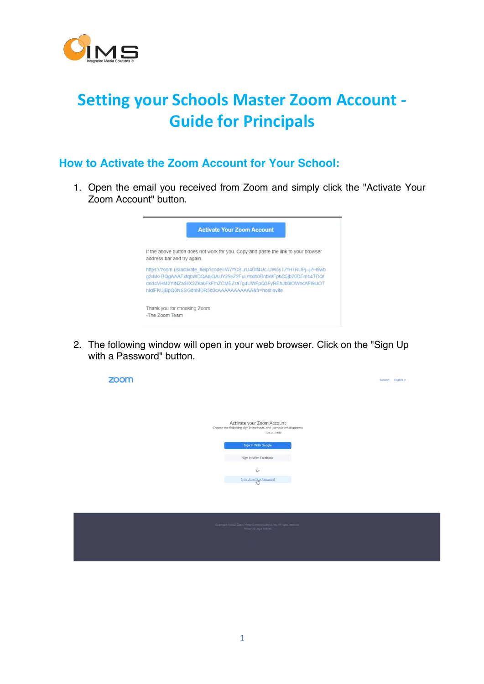

## **Setting your Schools Master Zoom Account - Guide for Principals**

## **How to Activate the Zoom Account for Your School:**

1. Open the email you received from Zoom and simply click the "Activate Your Zoom Account" button.



2. The following window will open in your web browser. Click on the "Sign Up with a Password" button.

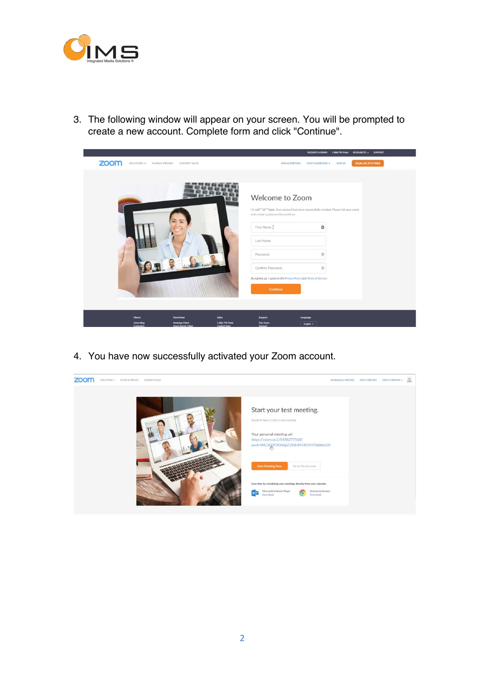

3. The following window will appear on your screen. You will be prompted to create a new account. Complete form and click "Continue".

|                                                                                                                 | <b>RESOURCES + SUPPORT</b><br>REQUEST A DEMO 1.888.799.9666                                       |  |
|-----------------------------------------------------------------------------------------------------------------|---------------------------------------------------------------------------------------------------|--|
| zoom<br>SOLUTIONS = PLANS & PRICING<br>CONTACT SALES                                                            | SIGN UP, IT'S FREE<br><b>SIGN IN</b><br>JOIN A MEETING<br><b>HOST A MEETING +</b>                 |  |
|                                                                                                                 |                                                                                                   |  |
|                                                                                                                 |                                                                                                   |  |
|                                                                                                                 |                                                                                                   |  |
|                                                                                                                 | Welcome to Zoom                                                                                   |  |
|                                                                                                                 | Hi, col <sup>+++</sup> @***com. Your account has been successfully created. Please list your name |  |
|                                                                                                                 | and create a password to continue.                                                                |  |
|                                                                                                                 | First Name I<br>$\boxplus$                                                                        |  |
|                                                                                                                 |                                                                                                   |  |
|                                                                                                                 | Last Name                                                                                         |  |
|                                                                                                                 |                                                                                                   |  |
|                                                                                                                 | $\circledR$<br>Password                                                                           |  |
|                                                                                                                 | $\circledR$<br>Confirm Password                                                                   |  |
|                                                                                                                 | By signing up, I agree to the Privacy Policy and Terms of Service.                                |  |
|                                                                                                                 |                                                                                                   |  |
|                                                                                                                 | <b>Continue</b>                                                                                   |  |
|                                                                                                                 |                                                                                                   |  |
|                                                                                                                 |                                                                                                   |  |
| About<br>Download<br><b>Sales</b>                                                                               | Support<br>Language                                                                               |  |
| <b>Meetings Client</b><br>1.888.799.9666<br>Zoom Blog<br>Zoom Rooms Client<br>Customers<br><b>Contact Sales</b> | <b>Test Zoom</b><br>English -<br><b>Account</b>                                                   |  |

4. You have now successfully activated your Zoom account.

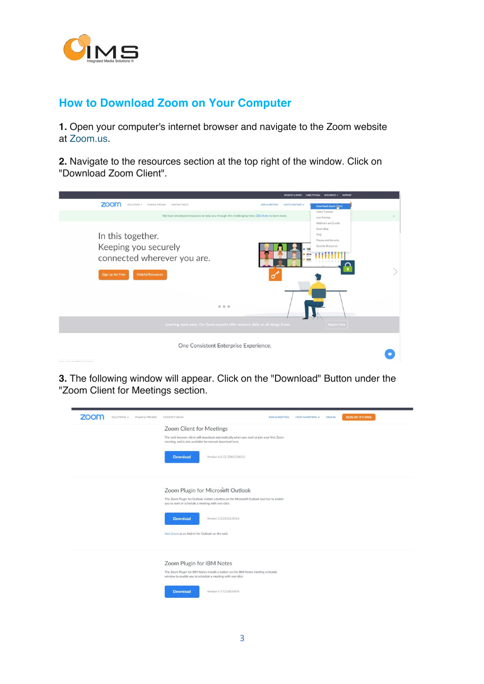

## **How to Download Zoom on Your Computer**

**1.** Open your computer's internet browser and navigate to the Zoom website at Zoom.us.

**2.** Navigate to the resources section at the top right of the window. Click on "Download Zoom Client".

|                                                                                                                                                                                                                    | <b>REQUEST A DEMO</b><br>1 888 799 9666<br>RESOURCES - SUPPORT                                                                    |
|--------------------------------------------------------------------------------------------------------------------------------------------------------------------------------------------------------------------|-----------------------------------------------------------------------------------------------------------------------------------|
| zoom<br>SOLUTIONS + PLANS & PRICING<br>CONTACT SALES                                                                                                                                                               | <b>HOST A MEETING +</b><br>JOIN A MEETING<br>Download Zoom Client                                                                 |
| We have developed resources to help you through this challenging time. Click here to learn more.                                                                                                                   | Video Tutorials<br>Live Training                                                                                                  |
| In this together.<br>Keeping you securely<br>connected wherever you are.<br>Sign up for Free<br><b>Helpful Resources</b><br>0 0 0<br>Learning made easy. Our Zoom experts offer sessions daily on all things Zoom. | Webinars and Events<br>Zoom Blog<br>FAQ<br>Privacy and Security<br>Security Resources<br>128<br>834<br>556<br><b>Register Now</b> |
| One Consistent Enterprise Experience.<br>strategy confidencial and Wallacek. Respectively.                                                                                                                         |                                                                                                                                   |

**3.** The following window will appear. Click on the "Download" Button under the "Zoom Client for Meetings section.

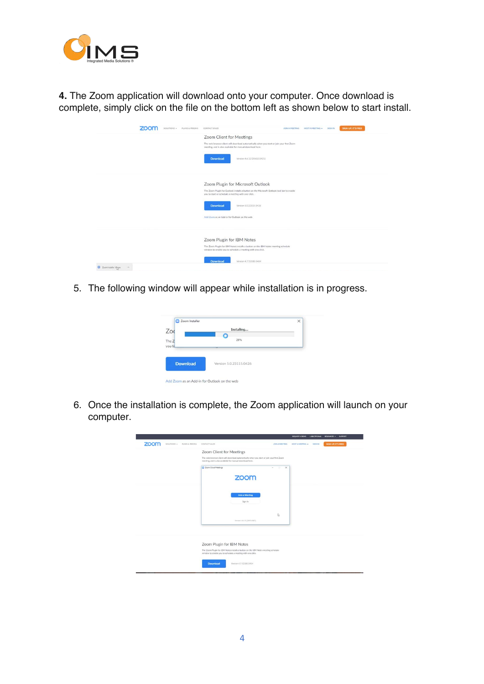

**4.** The Zoom application will download onto your computer. Once download is complete, simply click on the file on the bottom left as shown below to start install.

| 700<br>SOLUTIONS + PLANS & PRICING | <b>CONTACT SALES</b>                                                                                                                                  | JOIN A MEETING | HOST AMEETING + | SIGN IN | SIGN UP, IT'S FREE |
|------------------------------------|-------------------------------------------------------------------------------------------------------------------------------------------------------|----------------|-----------------|---------|--------------------|
|                                    | Zoom Client for Meetings                                                                                                                              |                |                 |         |                    |
|                                    | The web browser client will download automatically when you start or join your first Zoom<br>meeting, and is also available for manual download here. |                |                 |         |                    |
|                                    | <b>Download</b><br>Version 4.6.12 (20613.0421)                                                                                                        |                |                 |         |                    |
|                                    | Zoom Plugin for Microsoft Outlook                                                                                                                     |                |                 |         |                    |
|                                    | The Zoom Plugin for Qutlook installs a button on the Microsoft Qutlook tool bar to enable<br>you to start or schedule a meeting with one-click.       |                |                 |         |                    |
|                                    | Download<br>Version 5.0.23115.0426                                                                                                                    |                |                 |         |                    |
|                                    | Add Zoom as an Add-in for Outlook on the web                                                                                                          |                |                 |         |                    |
|                                    | Zoom Plugin for IBM Notes                                                                                                                             |                |                 |         |                    |
|                                    | The Zoom Plugin for IBM Notes installs a button on the IBM Notes meeting schedule<br>window to enable you to schedule a meeting with one click.       |                |                 |         |                    |
|                                    | Download<br>Version 4.7.52180.0404                                                                                                                    |                |                 |         |                    |

5. The following window will appear while installation is in progress.



6. Once the installation is complete, the Zoom application will launch on your computer.

|      |            |                 |                                                                                                                                                       |                       | REQUESTA DEMO 1888-799-9666 | RESOURCES -<br><b>SUPPORT</b> |
|------|------------|-----------------|-------------------------------------------------------------------------------------------------------------------------------------------------------|-----------------------|-----------------------------|-------------------------------|
| zoom | sournovs - | PLANS & PRICING | CONTACT SALES                                                                                                                                         | <b>JOIN A MEETING</b> | HOST A MEETING +<br>SIGN IN | <b>SIGN UP, IT'S FREE</b>     |
|      |            |                 | Zoom Client for Meetings                                                                                                                              |                       |                             |                               |
|      |            |                 | The web browser client will download automatically when you start or join your first Zoom<br>meeting, and is also available for manual download here. |                       |                             |                               |
|      |            |                 | Zoom Cloud Meetings<br>zoom                                                                                                                           | $\times$<br>о.        |                             |                               |
|      |            |                 | <b>Join a Meeting</b><br>Sign In                                                                                                                      |                       |                             |                               |
|      |            |                 | Version: 4.6.12 (20613.0421)                                                                                                                          | IS.                   |                             |                               |
|      |            |                 | Zoom Plugin for IBM Notes                                                                                                                             |                       |                             |                               |
|      |            |                 | The Zoom Plugin for IBM Notes installs a button on the IBM Notes meeting schedule<br>window to enable you to schedule a meeting with one click.       |                       |                             |                               |
|      |            |                 | <b>Download</b><br>Version 4.7.52180.0404                                                                                                             |                       |                             |                               |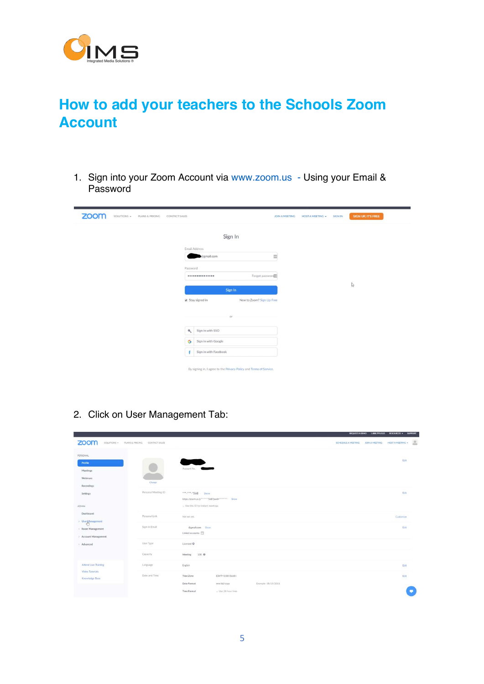

## **How to add your teachers to the Schools Zoom Account**

1. Sign into your Zoom Account via www.zoom.us - Using your Email & Password

| zoom | SOLUTIONS - | PLANS & PRICING | CONTACT SALES |                |                       |                                                                    | <b>JOIN A MEETING</b> | <b>HOST A MEETING +</b> | <b>SIGN IN</b> | SIGN UP, IT'S FREE |
|------|-------------|-----------------|---------------|----------------|-----------------------|--------------------------------------------------------------------|-----------------------|-------------------------|----------------|--------------------|
|      |             |                 |               |                | Sign In               |                                                                    |                       |                         |                |                    |
|      |             |                 |               | Email Address  |                       |                                                                    |                       |                         |                |                    |
|      |             |                 |               |                | @gmail.com            |                                                                    | $\equiv$              |                         |                |                    |
|      |             |                 |               | Password       |                       |                                                                    |                       |                         |                |                    |
|      |             |                 |               |                |                       | Forgot password                                                    |                       |                         |                |                    |
|      |             |                 |               |                |                       |                                                                    |                       |                         |                | $\mathbb{Q}$       |
|      |             |                 |               |                | Sign In               |                                                                    |                       |                         |                |                    |
|      |             |                 |               |                | Stay signed in        | New to Zoom? Sign Up Free                                          |                       |                         |                |                    |
|      |             |                 |               |                |                       |                                                                    |                       |                         |                |                    |
|      |             |                 |               | $\mathbf{a}_i$ | Sign in with SSO      |                                                                    |                       |                         |                |                    |
|      |             |                 |               | G              | Sign in with Google   |                                                                    |                       |                         |                |                    |
|      |             |                 |               | c              | Sign in with Facebook |                                                                    |                       |                         |                |                    |
|      |             |                 |               |                |                       | By signing in, I agree to the Privacy Policy and Terms of Service. |                       |                         |                |                    |

2. Click on User Management Tab:

| zoom<br>SOLUTIONS - PLANS & PRICING                            | CONTACT SALES       |                                                                                                                                | <b>HOST A MEETING +</b><br>SCHEDULE A MEETING<br><b>JOIN A MEETING</b> |
|----------------------------------------------------------------|---------------------|--------------------------------------------------------------------------------------------------------------------------------|------------------------------------------------------------------------|
| PERSONAL<br>Profile<br>Meetings<br>Webinars<br>Recordings      | Chinge              | Account No.                                                                                                                    | Edit                                                                   |
| Settings<br>ADMIN.                                             | Personal Meeting ID | 568<br>Show<br>https://zoom.us/j/*******568?pwd********* Show<br>x Use this ID for instant meetings                            | Edit                                                                   |
| Dashboard                                                      | Personal Link       | Not set yet.                                                                                                                   | Customize                                                              |
| > User Management<br>> Room Management<br>> Account Management | Sign-In Email       | @gmail.com Show<br>Linked accounts:                                                                                            | Edit                                                                   |
| > Advanced                                                     | User Type           | Licensed ®                                                                                                                     |                                                                        |
|                                                                | Capacity            | 100 ℮<br>Meeting                                                                                                               |                                                                        |
| <b>Attend Live Training</b>                                    | Language            | English                                                                                                                        | Edit                                                                   |
| Video Tutorials<br>Knowledge Base                              | Date and Time       | Time Zone<br>(GMT+1:00) Dublin<br>Example: 08/15/2011<br>Date Format<br>mm/dd/yyyy<br>Time Format<br>$\times$ Use 24-hour time | <b>Edit</b>                                                            |